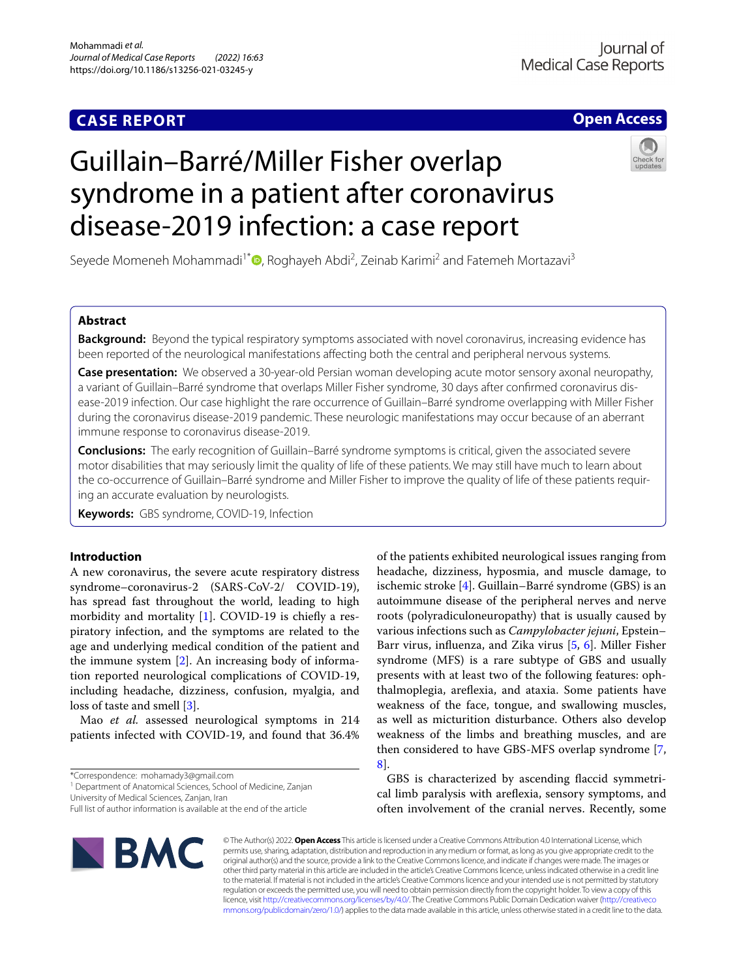# **CASE REPORT**

# **Open Access**

# Guillain–Barré/Miller Fisher overlap syndrome in a patient after coronavirus disease-2019 infection: a case report

Seyede Momeneh Mohammadi<sup>1\*</sup><sup>D</sup>[,](http://orcid.org/0000-0001-5190-7209) Roghayeh Abdi<sup>2</sup>, Zeinab Karimi<sup>2</sup> and Fatemeh Mortazavi<sup>3</sup>

# **Abstract**

**Background:** Beyond the typical respiratory symptoms associated with novel coronavirus, increasing evidence has been reported of the neurological manifestations afecting both the central and peripheral nervous systems.

**Case presentation:** We observed a 30-year-old Persian woman developing acute motor sensory axonal neuropathy, a variant of Guillain–Barré syndrome that overlaps Miller Fisher syndrome, 30 days after confrmed coronavirus disease-2019 infection. Our case highlight the rare occurrence of Guillain–Barré syndrome overlapping with Miller Fisher during the coronavirus disease-2019 pandemic. These neurologic manifestations may occur because of an aberrant immune response to coronavirus disease-2019.

**Conclusions:** The early recognition of Guillain–Barré syndrome symptoms is critical, given the associated severe motor disabilities that may seriously limit the quality of life of these patients. We may still have much to learn about the co-occurrence of Guillain–Barré syndrome and Miller Fisher to improve the quality of life of these patients requiring an accurate evaluation by neurologists.

**Keywords:** GBS syndrome, COVID-19, Infection

# **Introduction**

A new coronavirus, the severe acute respiratory distress syndrome–coronavirus-2 (SARS-CoV-2/ COVID-19), has spread fast throughout the world, leading to high morbidity and mortality  $[1]$  $[1]$ . COVID-19 is chiefly a respiratory infection, and the symptoms are related to the age and underlying medical condition of the patient and the immune system [[2\]](#page-2-1). An increasing body of information reported neurological complications of COVID-19, including headache, dizziness, confusion, myalgia, and loss of taste and smell [[3\]](#page-2-2).

Mao *et al.* assessed neurological symptoms in 214 patients infected with COVID-19, and found that 36.4%

<sup>1</sup> Department of Anatomical Sciences, School of Medicine, Zanjan

University of Medical Sciences, Zanjan, Iran

Full list of author information is available at the end of the article



of the patients exhibited neurological issues ranging from headache, dizziness, hyposmia, and muscle damage, to ischemic stroke [[4\]](#page-2-3). Guillain–Barré syndrome (GBS) is an autoimmune disease of the peripheral nerves and nerve roots (polyradiculoneuropathy) that is usually caused by various infections such as *Campylobacter jejuni*, Epstein– Barr virus, infuenza, and Zika virus [[5,](#page-2-4) [6\]](#page-2-5). Miller Fisher syndrome (MFS) is a rare subtype of GBS and usually presents with at least two of the following features: ophthalmoplegia, arefexia, and ataxia. Some patients have weakness of the face, tongue, and swallowing muscles, as well as micturition disturbance. Others also develop weakness of the limbs and breathing muscles, and are then considered to have GBS-MFS overlap syndrome [\[7](#page-2-6), [8\]](#page-2-7).

GBS is characterized by ascending faccid symmetrical limb paralysis with arefexia, sensory symptoms, and often involvement of the cranial nerves. Recently, some

© The Author(s) 2022. **Open Access** This article is licensed under a Creative Commons Attribution 4.0 International License, which permits use, sharing, adaptation, distribution and reproduction in any medium or format, as long as you give appropriate credit to the original author(s) and the source, provide a link to the Creative Commons licence, and indicate if changes were made. The images or other third party material in this article are included in the article's Creative Commons licence, unless indicated otherwise in a credit line to the material. If material is not included in the article's Creative Commons licence and your intended use is not permitted by statutory regulation or exceeds the permitted use, you will need to obtain permission directly from the copyright holder. To view a copy of this licence, visit [http://creativecommons.org/licenses/by/4.0/.](http://creativecommons.org/licenses/by/4.0/) The Creative Commons Public Domain Dedication waiver ([http://creativeco](http://creativecommons.org/publicdomain/zero/1.0/) [mmons.org/publicdomain/zero/1.0/](http://creativecommons.org/publicdomain/zero/1.0/)) applies to the data made available in this article, unless otherwise stated in a credit line to the data.

<sup>\*</sup>Correspondence: mohamady3@gmail.com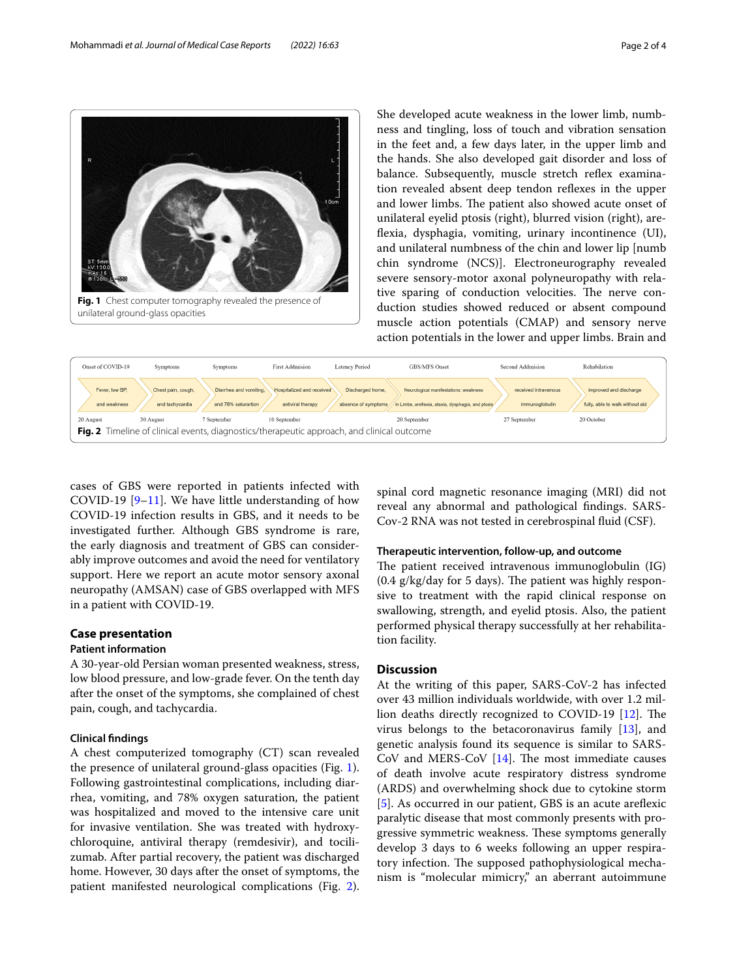cases of GBS were reported in patients infected with COVID-1[9](#page-2-8)  $[9-11]$ . We have little understanding of how COVID-19 infection results in GBS, and it needs to be investigated further. Although GBS syndrome is rare, the early diagnosis and treatment of GBS can considerably improve outcomes and avoid the need for ventilatory support. Here we report an acute motor sensory axonal neuropathy (AMSAN) case of GBS overlapped with MFS in a patient with COVID-19.

# **Case presentation**

Onset of COVID-19

20 August

Fever, low BP

# **Patient information**

A 30-year-old Persian woman presented weakness, stress, low blood pressure, and low-grade fever. On the tenth day after the onset of the symptoms, she complained of chest pain, cough, and tachycardia.

#### **Clinical fndings**

A chest computerized tomography (CT) scan revealed the presence of unilateral ground-glass opacities (Fig. [1](#page-1-0)). Following gastrointestinal complications, including diarrhea, vomiting, and 78% oxygen saturation, the patient was hospitalized and moved to the intensive care unit for invasive ventilation. She was treated with hydroxychloroquine, antiviral therapy (remdesivir), and tocilizumab. After partial recovery, the patient was discharged home. However, 30 days after the onset of symptoms, the patient manifested neurological complications (Fig. [2](#page-1-1)).

spinal cord magnetic resonance imaging (MRI) did not reveal any abnormal and pathological fndings. SARS-Cov-2 RNA was not tested in cerebrospinal fuid (CSF).

Second Addmision

27 September

received intravenous

Rehabilation

20 October

improved and discharge

fully, able to walk without aid

# **Therapeutic intervention, follow‑up, and outcome**

The patient received intravenous immunoglobulin  $(IG)$  $(0.4 \text{ g/kg/day}$  for 5 days). The patient was highly responsive to treatment with the rapid clinical response on swallowing, strength, and eyelid ptosis. Also, the patient performed physical therapy successfully at her rehabilitation facility.

# **Discussion**

GBS/MFS Onset

20 September

Neurological manifestations: weakn

At the writing of this paper, SARS-CoV-2 has infected over 43 million individuals worldwide, with over 1.2 mil-lion deaths directly recognized to COVID-19 [[12\]](#page-2-10). The virus belongs to the betacoronavirus family [\[13\]](#page-2-11), and genetic analysis found its sequence is similar to SARS-CoV and MERS-CoV  $[14]$ . The most immediate causes of death involve acute respiratory distress syndrome (ARDS) and overwhelming shock due to cytokine storm [[5\]](#page-2-4). As occurred in our patient, GBS is an acute areflexic paralytic disease that most commonly presents with progressive symmetric weakness. These symptoms generally develop 3 days to 6 weeks following an upper respiratory infection. The supposed pathophysiological mechanism is "molecular mimicry," an aberrant autoimmune

<span id="page-1-0"></span>**Fig. 1** Chest computer tomography revealed the presence of

Symptoms

and tach

30 Augus

Chest pain, cough

**First Addmision** 

10 September

**Hospitalized and received** 

antiviral therapy

**Latency Period** 

Discharged home

<span id="page-1-1"></span>**Fig. 2** Timeline of clinical events, diagnostics/therapeutic approach, and clinical outcome

She developed acute weakness in the lower limb, numbness and tingling, loss of touch and vibration sensation in the feet and, a few days later, in the upper limb and the hands. She also developed gait disorder and loss of balance. Subsequently, muscle stretch reflex examination revealed absent deep tendon refexes in the upper and lower limbs. The patient also showed acute onset of unilateral eyelid ptosis (right), blurred vision (right), areflexia, dysphagia, vomiting, urinary incontinence (UI), and unilateral numbness of the chin and lower lip [numb chin syndrome (NCS)]. Electroneurography revealed severe sensory-motor axonal polyneuropathy with relative sparing of conduction velocities. The nerve conduction studies showed reduced or absent compound muscle action potentials (CMAP) and sensory nerve action potentials in the lower and upper limbs. Brain and

Mohammadi *et al. Journal of Medical Case Reports (2022) 16:63* Page 2 of 4



Symptoms

7 September

Diarrhea and vomiting.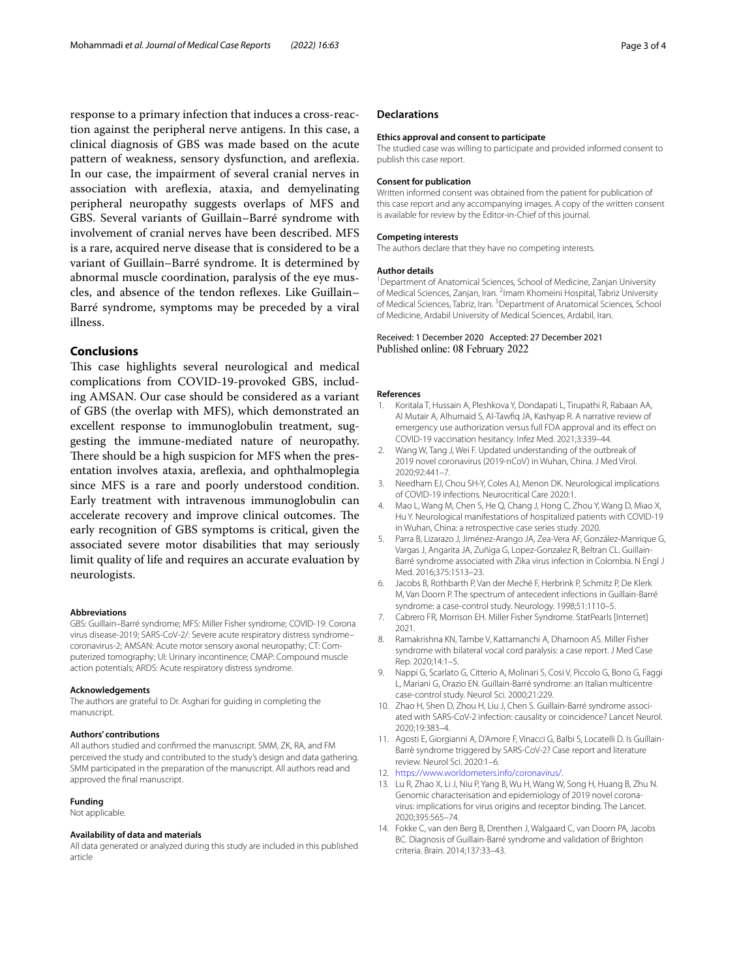response to a primary infection that induces a cross-reaction against the peripheral nerve antigens. In this case, a clinical diagnosis of GBS was made based on the acute pattern of weakness, sensory dysfunction, and arefexia. In our case, the impairment of several cranial nerves in association with arefexia, ataxia, and demyelinating peripheral neuropathy suggests overlaps of MFS and GBS. Several variants of Guillain–Barré syndrome with involvement of cranial nerves have been described. MFS is a rare, acquired nerve disease that is considered to be a variant of Guillain–Barré syndrome. It is determined by abnormal muscle coordination, paralysis of the eye muscles, and absence of the tendon refexes. Like Guillain– Barré syndrome, symptoms may be preceded by a viral illness.

### **Conclusions**

This case highlights several neurological and medical complications from COVID-19-provoked GBS, including AMSAN. Our case should be considered as a variant of GBS (the overlap with MFS), which demonstrated an excellent response to immunoglobulin treatment, suggesting the immune-mediated nature of neuropathy. There should be a high suspicion for MFS when the presentation involves ataxia, arefexia, and ophthalmoplegia since MFS is a rare and poorly understood condition. Early treatment with intravenous immunoglobulin can accelerate recovery and improve clinical outcomes. The early recognition of GBS symptoms is critical, given the associated severe motor disabilities that may seriously limit quality of life and requires an accurate evaluation by neurologists.

#### **Abbreviations**

GBS: Guillain–Barré syndrome; MFS: Miller Fisher syndrome; COVID-19: Corona virus disease-2019; SARS-CoV-2/: Severe acute respiratory distress syndrome– coronavirus-2; AMSAN: Acute motor sensory axonal neuropathy; CT: Computerized tomography; UI: Urinary incontinence; CMAP: Compound muscle action potentials; ARDS: Acute respiratory distress syndrome.

#### **Acknowledgements**

The authors are grateful to Dr. Asghari for guiding in completing the manuscript.

#### **Authors' contributions**

All authors studied and confrmed the manuscript. SMM, ZK, RA, and FM perceived the study and contributed to the study's design and data gathering. SMM participated in the preparation of the manuscript. All authors read and approved the fnal manuscript.

#### **Funding**

Not applicable.

#### **Availability of data and materials**

All data generated or analyzed during this study are included in this published article

# **Declarations**

#### **Ethics approval and consent to participate**

The studied case was willing to participate and provided informed consent to publish this case report.

#### **Consent for publication**

Written informed consent was obtained from the patient for publication of this case report and any accompanying images. A copy of the written consent is available for review by the Editor-in-Chief of this journal.

#### **Competing interests**

The authors declare that they have no competing interests.

#### **Author details**

<sup>1</sup> Department of Anatomical Sciences, School of Medicine, Zanjan University of Medical Sciences, Zanjan, Iran. <sup>2</sup>Imam Khomeini Hospital, Tabriz University of Medical Sciences, Tabriz, Iran. <sup>3</sup> Department of Anatomical Sciences, School of Medicine, Ardabil University of Medical Sciences, Ardabil, Iran.

## Received: 1 December 2020 Accepted: 27 December 2021 Published online: 08 February 2022

#### **References**

- <span id="page-2-0"></span>1. Koritala T, Hussain A, Pleshkova Y, Dondapati L, Tirupathi R, Rabaan AA, Al Mutair A, Alhumaid S, Al-Tawfq JA, Kashyap R. A narrative review of emergency use authorization versus full FDA approval and its efect on COVID-19 vaccination hesitancy. Infez Med. 2021;3:339–44.
- <span id="page-2-1"></span>2. Wang W, Tang J, Wei F. Updated understanding of the outbreak of 2019 novel coronavirus (2019-nCoV) in Wuhan, China. J Med Virol. 2020;92:441–7.
- <span id="page-2-2"></span>3. Needham EJ, Chou SH-Y, Coles AJ, Menon DK. Neurological implications of COVID-19 infections. Neurocritical Care 2020:1.
- <span id="page-2-3"></span>4. Mao L, Wang M, Chen S, He Q, Chang J, Hong C, Zhou Y, Wang D, Miao X, Hu Y. Neurological manifestations of hospitalized patients with COVID-19 in Wuhan, China: a retrospective case series study. 2020.
- <span id="page-2-4"></span>5. Parra B, Lizarazo J, Jiménez-Arango JA, Zea-Vera AF, González-Manrique G, Vargas J, Angarita JA, Zuñiga G, Lopez-Gonzalez R, Beltran CL. Guillain-Barré syndrome associated with Zika virus infection in Colombia. N Engl J Med. 2016;375:1513–23.
- <span id="page-2-5"></span>6. Jacobs B, Rothbarth P, Van der Meché F, Herbrink P, Schmitz P, De Klerk M, Van Doorn P. The spectrum of antecedent infections in Guillain-Barré syndrome: a case-control study. Neurology. 1998;51:1110–5.
- <span id="page-2-6"></span>7. Cabrero FR, Morrison EH. Miller Fisher Syndrome. StatPearls [Internet] 2021.
- <span id="page-2-7"></span>8. Ramakrishna KN, Tambe V, Kattamanchi A, Dhamoon AS. Miller Fisher syndrome with bilateral vocal cord paralysis: a case report. J Med Case Rep. 2020;14:1–5.
- <span id="page-2-8"></span>9. Nappi G, Scarlato G, Citterio A, Molinari S, Cosi V, Piccolo G, Bono G, Faggi L, Mariani G, Orazio EN. Guillain-Barré syndrome: an Italian multicentre case-control study. Neurol Sci. 2000;21:229.
- 10. Zhao H, Shen D, Zhou H, Liu J, Chen S. Guillain-Barré syndrome associated with SARS-CoV-2 infection: causality or coincidence? Lancet Neurol. 2020;19:383–4.
- <span id="page-2-9"></span>11. Agosti E, Giorgianni A, D'Amore F, Vinacci G, Balbi S, Locatelli D. Is Guillain-Barrè syndrome triggered by SARS-CoV-2? Case report and literature review. Neurol Sci. 2020:1–6.
- <span id="page-2-10"></span>12. [https://www.worldometers.info/coronavirus/.](https://www.worldometers.info/coronavirus/)
- <span id="page-2-11"></span>13. Lu R, Zhao X, Li J, Niu P, Yang B, Wu H, Wang W, Song H, Huang B, Zhu N. Genomic characterisation and epidemiology of 2019 novel coronavirus: implications for virus origins and receptor binding. The Lancet. 2020;395:565–74.
- <span id="page-2-12"></span>14. Fokke C, van den Berg B, Drenthen J, Walgaard C, van Doorn PA, Jacobs BC. Diagnosis of Guillain-Barré syndrome and validation of Brighton criteria. Brain. 2014;137:33–43.